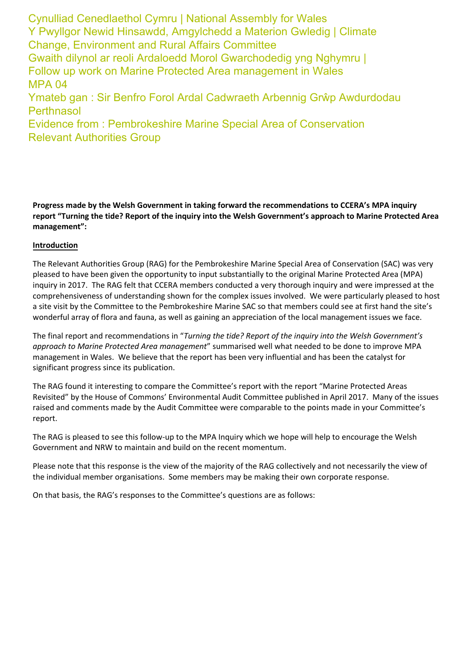Cynulliad Cenedlaethol Cymru | National Assembly for Wales Y Pwyllgor Newid Hinsawdd, Amgylchedd a Materion Gwledig | Climate Change, Environment and Rural Affairs Committee Gwaith dilynol ar reoli Ardaloedd Morol Gwarchodedig yng Nghymru | Follow up work on Marine Protected Area management in Wales MPA 04 Ymateb gan : Sir Benfro Forol Ardal Cadwraeth Arbennig Grŵp Awdurdodau **Perthnasol** Evidence from : Pembrokeshire Marine Special Area of Conservation Relevant Authorities Group

**Progress made by the Welsh Government in taking forward the recommendations to CCERA's MPA inquiry report "Turning the tide? Report of the inquiry into the Welsh Government's approach to Marine Protected Area management":** 

#### **Introduction**

The Relevant Authorities Group (RAG) for the Pembrokeshire Marine Special Area of Conservation (SAC) was very pleased to have been given the opportunity to input substantially to the original Marine Protected Area (MPA) inquiry in 2017. The RAG felt that CCERA members conducted a very thorough inquiry and were impressed at the comprehensiveness of understanding shown for the complex issues involved. We were particularly pleased to host a site visit by the Committee to the Pembrokeshire Marine SAC so that members could see at first hand the site's wonderful array of flora and fauna, as well as gaining an appreciation of the local management issues we face.

The final report and recommendations in "*Turning the tide? Report of the inquiry into the Welsh Government's approach to Marine Protected Area management*" summarised well what needed to be done to improve MPA management in Wales. We believe that the report has been very influential and has been the catalyst for significant progress since its publication.

The RAG found it interesting to compare the Committee's report with the report "Marine Protected Areas Revisited" by the House of Commons' Environmental Audit Committee published in April 2017. Many of the issues raised and comments made by the Audit Committee were comparable to the points made in your Committee's report.

The RAG is pleased to see this follow-up to the MPA Inquiry which we hope will help to encourage the Welsh Government and NRW to maintain and build on the recent momentum.

Please note that this response is the view of the majority of the RAG collectively and not necessarily the view of the individual member organisations. Some members may be making their own corporate response.

On that basis, the RAG's responses to the Committee's questions are as follows: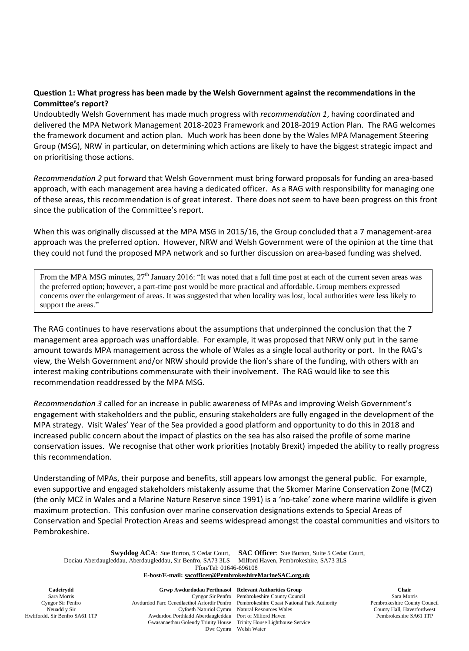### **Question 1: What progress has been made by the Welsh Government against the recommendations in the Committee's report?**

Undoubtedly Welsh Government has made much progress with *recommendation 1*, having coordinated and delivered the MPA Network Management 2018-2023 Framework and 2018-2019 Action Plan. The RAG welcomes the framework document and action plan. Much work has been done by the Wales MPA Management Steering Group (MSG), NRW in particular, on determining which actions are likely to have the biggest strategic impact and on prioritising those actions.

*Recommendation 2* put forward that Welsh Government must bring forward proposals for funding an area-based approach, with each management area having a dedicated officer. As a RAG with responsibility for managing one of these areas, this recommendation is of great interest. There does not seem to have been progress on this front since the publication of the Committee's report.

When this was originally discussed at the MPA MSG in 2015/16, the Group concluded that a 7 management-area approach was the preferred option. However, NRW and Welsh Government were of the opinion at the time that they could not fund the proposed MPA network and so further discussion on area-based funding was shelved.

From the MPA MSG minutes, 27<sup>th</sup> January 2016: "It was noted that a full time post at each of the current seven areas was the preferred option; however, a part-time post would be more practical and affordable. Group members expressed concerns over the enlargement of areas. It was suggested that when locality was lost, local authorities were less likely to support the areas."

The RAG continues to have reservations about the assumptions that underpinned the conclusion that the 7 management area approach was unaffordable. For example, it was proposed that NRW only put in the same amount towards MPA management across the whole of Wales as a single local authority or port. In the RAG's view, the Welsh Government and/or NRW should provide the lion's share of the funding, with others with an interest making contributions commensurate with their involvement. The RAG would like to see this recommendation readdressed by the MPA MSG.

*Recommendation 3* called for an increase in public awareness of MPAs and improving Welsh Government's engagement with stakeholders and the public, ensuring stakeholders are fully engaged in the development of the MPA strategy. Visit Wales' Year of the Sea provided a good platform and opportunity to do this in 2018 and increased public concern about the impact of plastics on the sea has also raised the profile of some marine conservation issues. We recognise that other work priorities (notably Brexit) impeded the ability to really progress this recommendation.

Understanding of MPAs, their purpose and benefits, still appears low amongst the general public. For example, even supportive and engaged stakeholders mistakenly assume that the Skomer Marine Conservation Zone (MCZ) (the only MCZ in Wales and a Marine Nature Reserve since 1991) is a 'no-take' zone where marine wildlife is given maximum protection. This confusion over marine conservation designations extends to Special Areas of Conservation and Special Protection Areas and seems widespread amongst the coastal communities and visitors to Pembrokeshire.

**Swyddog ACA**: Sue Burton, 5 Cedar Court, **SAC Officer**: Sue Burton, Suite 5 Cedar Court, Dociau Aberdaugleddau, Aberdaugleddau, Sir Benfro, SA73 3LS Ffon/Tel: 01646-696108 **E-bost/E-mail: sacofficer@PembrokeshireMarineSAC.org.uk**

**Cadeirydd** Sara Morris Cyngor Sir Penfro Neuadd y Sir Hwlffordd, Sir Benfro SA61 1TP

**Grwp Awdurdodau Perthnasol Relevant Authorities Group** Awdurdod Parc Cenedlaethol Arfordir Penfro Pembrokeshire Coast National Park Authority Cyfoeth Naturiol Cymru Natural Resources Wales Awdurdod Porthladd Aberdaugleddau Port of Milford Haven Gwasanaethau Goleudy Trinity House Trinity House Lighthouse Service Dwr Cymru Welsh Water

Cyngor Sir Penfro Pembrokeshire County Council

**Chair** Sara Morris Pembrokeshire County Council County Hall, Haverfordwest Pembrokeshire SA61 1TP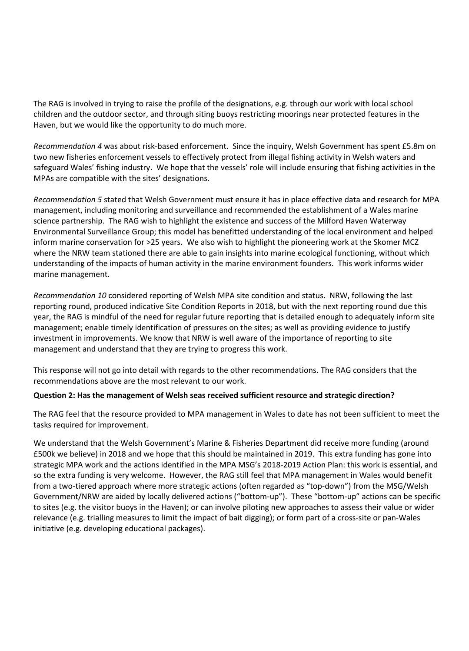The RAG is involved in trying to raise the profile of the designations, e.g. through our work with local school children and the outdoor sector, and through siting buoys restricting moorings near protected features in the Haven, but we would like the opportunity to do much more.

*Recommendation 4* was about risk-based enforcement. Since the inquiry, Welsh Government has spent £5.8m on two new fisheries enforcement vessels to effectively protect from illegal fishing activity in Welsh waters and safeguard Wales' fishing industry. We hope that the vessels' role will include ensuring that fishing activities in the MPAs are compatible with the sites' designations.

*Recommendation 5* stated that Welsh Government must ensure it has in place effective data and research for MPA management, including monitoring and surveillance and recommended the establishment of a Wales marine science partnership. The RAG wish to highlight the existence and success of the Milford Haven Waterway Environmental Surveillance Group; this model has benefitted understanding of the local environment and helped inform marine conservation for >25 years. We also wish to highlight the pioneering work at the Skomer MCZ where the NRW team stationed there are able to gain insights into marine ecological functioning, without which understanding of the impacts of human activity in the marine environment founders. This work informs wider marine management.

*Recommendation 10* considered reporting of Welsh MPA site condition and status. NRW, following the last reporting round, produced indicative Site Condition Reports in 2018, but with the next reporting round due this year, the RAG is mindful of the need for regular future reporting that is detailed enough to adequately inform site management; enable timely identification of pressures on the sites; as well as providing evidence to justify investment in improvements. We know that NRW is well aware of the importance of reporting to site management and understand that they are trying to progress this work.

This response will not go into detail with regards to the other recommendations. The RAG considers that the recommendations above are the most relevant to our work.

#### **Question 2: Has the management of Welsh seas received sufficient resource and strategic direction?**

The RAG feel that the resource provided to MPA management in Wales to date has not been sufficient to meet the tasks required for improvement.

We understand that the Welsh Government's Marine & Fisheries Department did receive more funding (around £500k we believe) in 2018 and we hope that this should be maintained in 2019. This extra funding has gone into strategic MPA work and the actions identified in the MPA MSG's 2018-2019 Action Plan: this work is essential, and so the extra funding is very welcome. However, the RAG still feel that MPA management in Wales would benefit from a two-tiered approach where more strategic actions (often regarded as "top-down") from the MSG/Welsh Government/NRW are aided by locally delivered actions ("bottom-up"). These "bottom-up" actions can be specific to sites (e.g. the visitor buoys in the Haven); or can involve piloting new approaches to assess their value or wider relevance (e.g. trialling measures to limit the impact of bait digging); or form part of a cross-site or pan-Wales initiative (e.g. developing educational packages).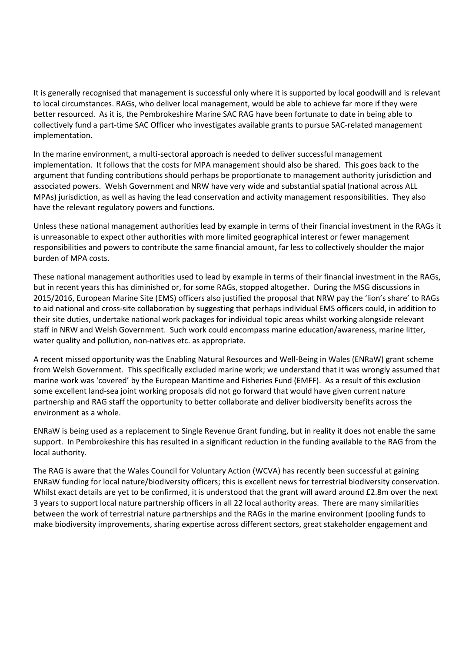It is generally recognised that management is successful only where it is supported by local goodwill and is relevant to local circumstances. RAGs, who deliver local management, would be able to achieve far more if they were better resourced. As it is, the Pembrokeshire Marine SAC RAG have been fortunate to date in being able to collectively fund a part-time SAC Officer who investigates available grants to pursue SAC-related management implementation.

In the marine environment, a multi-sectoral approach is needed to deliver successful management implementation. It follows that the costs for MPA management should also be shared. This goes back to the argument that funding contributions should perhaps be proportionate to management authority jurisdiction and associated powers. Welsh Government and NRW have very wide and substantial spatial (national across ALL MPAs) jurisdiction, as well as having the lead conservation and activity management responsibilities. They also have the relevant regulatory powers and functions.

Unless these national management authorities lead by example in terms of their financial investment in the RAGs it is unreasonable to expect other authorities with more limited geographical interest or fewer management responsibilities and powers to contribute the same financial amount, far less to collectively shoulder the major burden of MPA costs.

These national management authorities used to lead by example in terms of their financial investment in the RAGs, but in recent years this has diminished or, for some RAGs, stopped altogether. During the MSG discussions in 2015/2016, European Marine Site (EMS) officers also justified the proposal that NRW pay the 'lion's share' to RAGs to aid national and cross-site collaboration by suggesting that perhaps individual EMS officers could, in addition to their site duties, undertake national work packages for individual topic areas whilst working alongside relevant staff in NRW and Welsh Government. Such work could encompass marine education/awareness, marine litter, water quality and pollution, non-natives etc. as appropriate.

A recent missed opportunity was the Enabling Natural Resources and Well-Being in Wales (ENRaW) grant scheme from Welsh Government. This specifically excluded marine work; we understand that it was wrongly assumed that marine work was 'covered' by the European Maritime and Fisheries Fund (EMFF). As a result of this exclusion some excellent land-sea joint working proposals did not go forward that would have given current nature partnership and RAG staff the opportunity to better collaborate and deliver biodiversity benefits across the environment as a whole.

ENRaW is being used as a replacement to Single Revenue Grant funding, but in reality it does not enable the same support. In Pembrokeshire this has resulted in a significant reduction in the funding available to the RAG from the local authority.

The RAG is aware that the Wales Council for Voluntary Action (WCVA) has recently been successful at gaining ENRaW funding for local nature/biodiversity officers; this is excellent news for terrestrial biodiversity conservation. Whilst exact details are yet to be confirmed, it is understood that the grant will award around £2.8m over the next 3 years to support local nature partnership officers in all 22 local authority areas. There are many similarities between the work of terrestrial nature partnerships and the RAGs in the marine environment (pooling funds to make biodiversity improvements, sharing expertise across different sectors, great stakeholder engagement and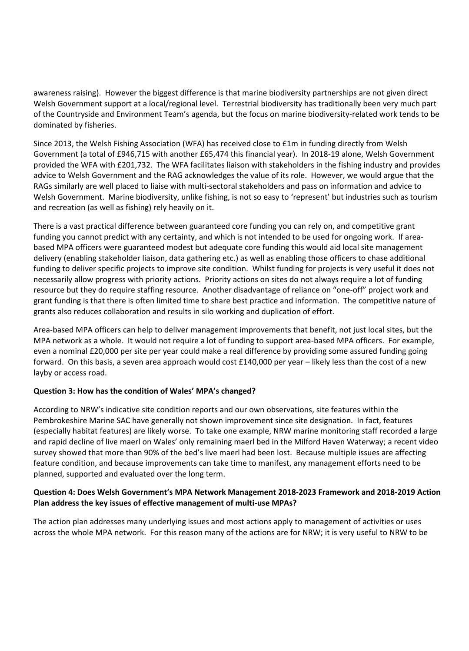awareness raising). However the biggest difference is that marine biodiversity partnerships are not given direct Welsh Government support at a local/regional level. Terrestrial biodiversity has traditionally been very much part of the Countryside and Environment Team's agenda, but the focus on marine biodiversity-related work tends to be dominated by fisheries.

Since 2013, the Welsh Fishing Association (WFA) has received close to £1m in funding directly from Welsh Government (a total of £946,715 with another £65,474 this financial year). In 2018-19 alone, Welsh Government provided the WFA with £201,732. The WFA facilitates liaison with stakeholders in the fishing industry and provides advice to Welsh Government and the RAG acknowledges the value of its role. However, we would argue that the RAGs similarly are well placed to liaise with multi-sectoral stakeholders and pass on information and advice to Welsh Government. Marine biodiversity, unlike fishing, is not so easy to 'represent' but industries such as tourism and recreation (as well as fishing) rely heavily on it.

There is a vast practical difference between guaranteed core funding you can rely on, and competitive grant funding you cannot predict with any certainty, and which is not intended to be used for ongoing work. If areabased MPA officers were guaranteed modest but adequate core funding this would aid local site management delivery (enabling stakeholder liaison, data gathering etc.) as well as enabling those officers to chase additional funding to deliver specific projects to improve site condition. Whilst funding for projects is very useful it does not necessarily allow progress with priority actions. Priority actions on sites do not always require a lot of funding resource but they do require staffing resource. Another disadvantage of reliance on "one-off" project work and grant funding is that there is often limited time to share best practice and information. The competitive nature of grants also reduces collaboration and results in silo working and duplication of effort.

Area-based MPA officers can help to deliver management improvements that benefit, not just local sites, but the MPA network as a whole. It would not require a lot of funding to support area-based MPA officers. For example, even a nominal £20,000 per site per year could make a real difference by providing some assured funding going forward. On this basis, a seven area approach would cost £140,000 per year – likely less than the cost of a new layby or access road.

#### **Question 3: How has the condition of Wales' MPA's changed?**

According to NRW's indicative site condition reports and our own observations, site features within the Pembrokeshire Marine SAC have generally not shown improvement since site designation. In fact, features (especially habitat features) are likely worse. To take one example, NRW marine monitoring staff recorded a large and rapid decline of live maerl on Wales' only remaining maerl bed in the Milford Haven Waterway; a recent video survey showed that more than 90% of the bed's live maerl had been lost. Because multiple issues are affecting feature condition, and because improvements can take time to manifest, any management efforts need to be planned, supported and evaluated over the long term.

# **Question 4: Does Welsh Government's MPA Network Management 2018-2023 Framework and 2018-2019 Action Plan address the key issues of effective management of multi-use MPAs?**

The action plan addresses many underlying issues and most actions apply to management of activities or uses across the whole MPA network. For this reason many of the actions are for NRW; it is very useful to NRW to be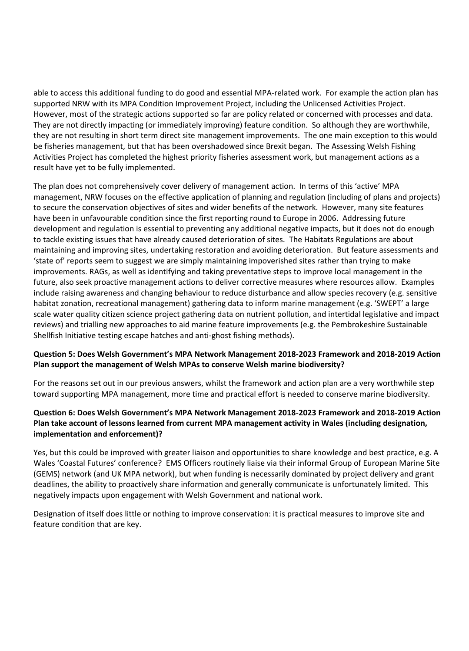able to access this additional funding to do good and essential MPA-related work. For example the action plan has supported NRW with its MPA Condition Improvement Project, including the Unlicensed Activities Project. However, most of the strategic actions supported so far are policy related or concerned with processes and data. They are not directly impacting (or immediately improving) feature condition. So although they are worthwhile, they are not resulting in short term direct site management improvements. The one main exception to this would be fisheries management, but that has been overshadowed since Brexit began. The Assessing Welsh Fishing Activities Project has completed the highest priority fisheries assessment work, but management actions as a result have yet to be fully implemented.

The plan does not comprehensively cover delivery of management action. In terms of this 'active' MPA management, NRW focuses on the effective application of planning and regulation (including of plans and projects) to secure the conservation objectives of sites and wider benefits of the network. However, many site features have been in unfavourable condition since the first reporting round to Europe in 2006. Addressing future development and regulation is essential to preventing any additional negative impacts, but it does not do enough to tackle existing issues that have already caused deterioration of sites. The Habitats Regulations are about maintaining and improving sites, undertaking restoration and avoiding deterioration. But feature assessments and 'state of' reports seem to suggest we are simply maintaining impoverished sites rather than trying to make improvements. RAGs, as well as identifying and taking preventative steps to improve local management in the future, also seek proactive management actions to deliver corrective measures where resources allow. Examples include raising awareness and changing behaviour to reduce disturbance and allow species recovery (e.g. sensitive habitat zonation, recreational management) gathering data to inform marine management (e.g. 'SWEPT' a large scale water quality citizen science project gathering data on nutrient pollution, and intertidal legislative and impact reviews) and trialling new approaches to aid marine feature improvements (e.g. the Pembrokeshire Sustainable Shellfish Initiative testing escape hatches and anti-ghost fishing methods).

# **Question 5: Does Welsh Government's MPA Network Management 2018-2023 Framework and 2018-2019 Action Plan support the management of Welsh MPAs to conserve Welsh marine biodiversity?**

For the reasons set out in our previous answers, whilst the framework and action plan are a very worthwhile step toward supporting MPA management, more time and practical effort is needed to conserve marine biodiversity.

# **Question 6: Does Welsh Government's MPA Network Management 2018-2023 Framework and 2018-2019 Action Plan take account of lessons learned from current MPA management activity in Wales (including designation, implementation and enforcement)?**

Yes, but this could be improved with greater liaison and opportunities to share knowledge and best practice, e.g. A Wales 'Coastal Futures' conference? EMS Officers routinely liaise via their informal Group of European Marine Site (GEMS) network (and UK MPA network), but when funding is necessarily dominated by project delivery and grant deadlines, the ability to proactively share information and generally communicate is unfortunately limited. This negatively impacts upon engagement with Welsh Government and national work.

Designation of itself does little or nothing to improve conservation: it is practical measures to improve site and feature condition that are key.